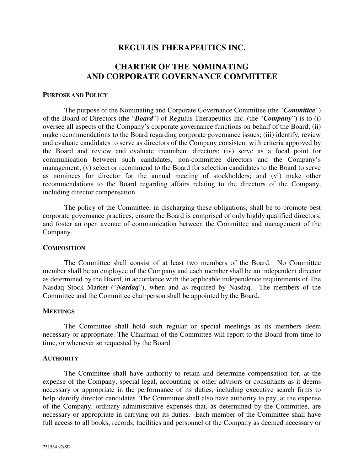## **REGULUS THERAPEUTICS INC.**

# **CHARTER OF THE NOMINATING AND CORPORATE GOVERNANCE COMMITTEE**

### **PURPOSE AND POLICY**

The purpose of the Nominating and Corporate Governance Committee (the "*Committee*") of the Board of Directors (the "*Board*") of Regulus Therapeutics Inc. (the "*Company*") is to (i) oversee all aspects of the Company's corporate governance functions on behalf of the Board; (ii) make recommendations to the Board regarding corporate governance issues; (iii) identify, review and evaluate candidates to serve as directors of the Company consistent with criteria approved by the Board and review and evaluate incumbent directors; (iv) serve as a focal point for communication between such candidates, non-committee directors and the Company's management; (v) select or recommend to the Board for selection candidates to the Board to serve as nominees for director for the annual meeting of stockholders; and (vi) make other recommendations to the Board regarding affairs relating to the directors of the Company, including director compensation.

The policy of the Committee, in discharging these obligations, shall be to promote best corporate governance practices, ensure the Board is comprised of only highly qualified directors, and foster an open avenue of communication between the Committee and management of the Company.

#### **COMPOSITION**

The Committee shall consist of at least two members of the Board. No Committee member shall be an employee of the Company and each member shall be an independent director as determined by the Board, in accordance with the applicable independence requirements of The Nasdaq Stock Market ("*Nasdaq*"), when and as required by Nasdaq. The members of the Committee and the Committee chairperson shall be appointed by the Board.

#### **MEETINGS**

The Committee shall hold such regular or special meetings as its members deem necessary or appropriate. The Chairman of the Committee will report to the Board from time to time, or whenever so requested by the Board.

#### **AUTHORITY**

The Committee shall have authority to retain and determine compensation for, at the expense of the Company, special legal, accounting or other advisors or consultants as it deems necessary or appropriate in the performance of its duties, including executive search firms to help identify director candidates. The Committee shall also have authority to pay, at the expense of the Company, ordinary administrative expenses that, as determined by the Committee, are necessary or appropriate in carrying out its duties. Each member of the Committee shall have full access to all books, records, facilities and personnel of the Company as deemed necessary or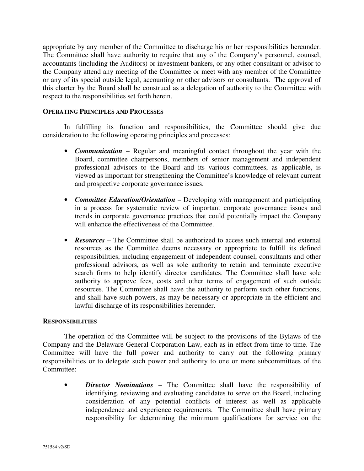appropriate by any member of the Committee to discharge his or her responsibilities hereunder. The Committee shall have authority to require that any of the Company's personnel, counsel, accountants (including the Auditors) or investment bankers, or any other consultant or advisor to the Company attend any meeting of the Committee or meet with any member of the Committee or any of its special outside legal, accounting or other advisors or consultants. The approval of this charter by the Board shall be construed as a delegation of authority to the Committee with respect to the responsibilities set forth herein.

### **OPERATING PRINCIPLES AND PROCESSES**

In fulfilling its function and responsibilities, the Committee should give due consideration to the following operating principles and processes:

- *Communication* Regular and meaningful contact throughout the year with the Board, committee chairpersons, members of senior management and independent professional advisors to the Board and its various committees, as applicable, is viewed as important for strengthening the Committee's knowledge of relevant current and prospective corporate governance issues.
- *Committee Education/Orientation* Developing with management and participating in a process for systematic review of important corporate governance issues and trends in corporate governance practices that could potentially impact the Company will enhance the effectiveness of the Committee.
- *Resources* The Committee shall be authorized to access such internal and external resources as the Committee deems necessary or appropriate to fulfill its defined responsibilities, including engagement of independent counsel, consultants and other professional advisors, as well as sole authority to retain and terminate executive search firms to help identify director candidates. The Committee shall have sole authority to approve fees, costs and other terms of engagement of such outside resources. The Committee shall have the authority to perform such other functions, and shall have such powers, as may be necessary or appropriate in the efficient and lawful discharge of its responsibilities hereunder.

#### **RESPONSIBILITIES**

The operation of the Committee will be subject to the provisions of the Bylaws of the Company and the Delaware General Corporation Law, each as in effect from time to time. The Committee will have the full power and authority to carry out the following primary responsibilities or to delegate such power and authority to one or more subcommittees of the Committee:

• *Director Nominations* – The Committee shall have the responsibility of identifying, reviewing and evaluating candidates to serve on the Board, including consideration of any potential conflicts of interest as well as applicable independence and experience requirements. The Committee shall have primary responsibility for determining the minimum qualifications for service on the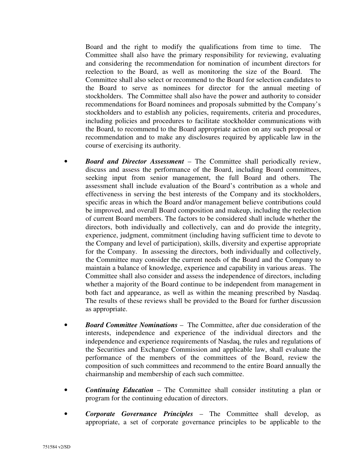Board and the right to modify the qualifications from time to time. The Committee shall also have the primary responsibility for reviewing, evaluating and considering the recommendation for nomination of incumbent directors for reelection to the Board, as well as monitoring the size of the Board. The Committee shall also select or recommend to the Board for selection candidates to the Board to serve as nominees for director for the annual meeting of stockholders. The Committee shall also have the power and authority to consider recommendations for Board nominees and proposals submitted by the Company's stockholders and to establish any policies, requirements, criteria and procedures, including policies and procedures to facilitate stockholder communications with the Board, to recommend to the Board appropriate action on any such proposal or recommendation and to make any disclosures required by applicable law in the course of exercising its authority.

- *Board and Director Assessment* The Committee shall periodically review, discuss and assess the performance of the Board, including Board committees, seeking input from senior management, the full Board and others. The assessment shall include evaluation of the Board's contribution as a whole and effectiveness in serving the best interests of the Company and its stockholders, specific areas in which the Board and/or management believe contributions could be improved, and overall Board composition and makeup, including the reelection of current Board members. The factors to be considered shall include whether the directors, both individually and collectively, can and do provide the integrity, experience, judgment, commitment (including having sufficient time to devote to the Company and level of participation), skills, diversity and expertise appropriate for the Company. In assessing the directors, both individually and collectively, the Committee may consider the current needs of the Board and the Company to maintain a balance of knowledge, experience and capability in various areas. The Committee shall also consider and assess the independence of directors, including whether a majority of the Board continue to be independent from management in both fact and appearance, as well as within the meaning prescribed by Nasdaq. The results of these reviews shall be provided to the Board for further discussion as appropriate.
- *Board Committee Nominations* The Committee, after due consideration of the interests, independence and experience of the individual directors and the independence and experience requirements of Nasdaq, the rules and regulations of the Securities and Exchange Commission and applicable law, shall evaluate the performance of the members of the committees of the Board, review the composition of such committees and recommend to the entire Board annually the chairmanship and membership of each such committee.
- *Continuing Education* The Committee shall consider instituting a plan or program for the continuing education of directors.
- *Corporate Governance Principles* The Committee shall develop, as appropriate, a set of corporate governance principles to be applicable to the